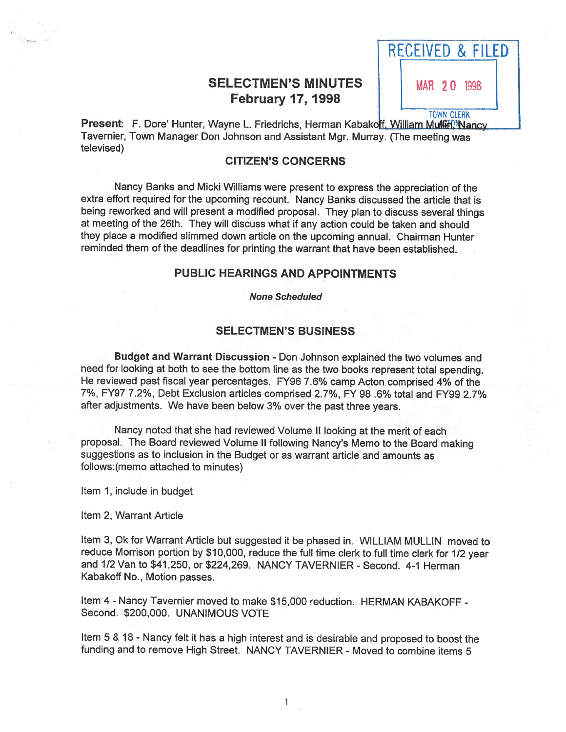## SELECTMEN'S MINUTES | | MAR 20 1998 February 17, 1998

RECEIVED & FILED TOWN CLERK

Present: F. Dore' Hunter, Wayne L. Friedrichs, Herman Kabakoff, William Multipl Nancy Tavernier, Town Manager Don Johnson and Assistant Mgr. Murray. (The meeting was televised)

## CITIZEN'S CONCERNS

Nancy Banks and Micki Williams were presen<sup>t</sup> to express the appreciation of the extra effort required for the upcoming recount. Nancy Banks discussed the article that is being reworked and will presen<sup>t</sup> <sup>a</sup> modified proposal. They <sup>p</sup>lan to discuss several things at meeting of the 26th. They will discuss what if any action could be taken and should they <sup>p</sup>lace <sup>a</sup> modified slimmed down article on the upcoming annual. Chairman Hunter reminded them of the deadlines for printing the warrant that have been established.

#### PUBLIC HEARINGS AND APPOINTMENTS

None Scheduled

## SELECTMEN'S BUSINESS

Budget and Warrant Discussion - Don Johnson explained the two volumes and need for looking at both to see the bottom line as the two books represen<sup>t</sup> total spending. He reviewed pas<sup>t</sup> fiscal year percentages. FY96 7.6% camp Acton comprised 4% of the 7%, FY97 7.2%, Debt Exclusion articles comprised 2.7%, FY 98 .6% total and FY99 2.7% after adjustments. We have been below 3% over the pas<sup>t</sup> three years.

Nancy notod that she had reviewed Volume II looking at the merit of each proposal. The Board reviewed Volume II following Nancy's Memo to the Board making suggestions as to inclusion in the Budget or as warrant article and amounts as follows:(memo attached to minutes)

Item 1, include in budget

Item 2, Warrant Article

Item 3, Ok for Warrant Article but suggested it be <sup>p</sup>hased in. WILLIAM MULLIN moved to reduce Morrison portion by \$10,000, reduce the full time clerk to full time clerk for 1/2 year and 1/2 Van to \$41,250, or \$224,269. NANCY TAVERNIER - Second. 4-1 Herman Kabakoff No., Motion passes.

Item 4 - Nancy Tavernier moved to make \$15,000 reduction. HERMAN KABAKOFF - Second. \$200,000. UNANIMOUS VOTE

Item <sup>5</sup> & <sup>18</sup> - Nancy felt it has <sup>a</sup> high interest and is desirable and propose<sup>d</sup> to boost the funding and to remove High Street. NANCY TAVERNIER - Moved to combine items 5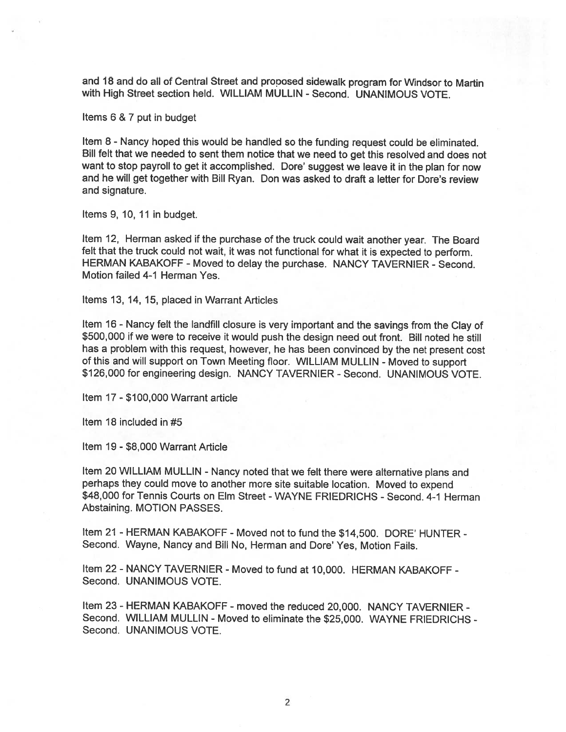and <sup>18</sup> and do all of Central Street and propose<sup>d</sup> sidewalk program for Windsor to Martin with High Street section held. WILLIAM MULLIN - Second. UNANIMOUS VOTE.

Items 6 & 7 pu<sup>t</sup> in budget

Item <sup>8</sup> - Nancy hoped this would be handled so the funding reques<sup>t</sup> could be eliminated. Bill felt that we needed to sent them notice that we need to ge<sup>t</sup> this resolved and does not want to stop payroll to ge<sup>t</sup> it accomplished. Dore' sugges<sup>t</sup> we leave it in the <sup>p</sup>lan for now and he will ge<sup>t</sup> together with Bill Ryan. Don was asked to draft <sup>a</sup> letter for Dore's review and signature.

Items 9, 10, 11 in budget.

Item 12, Herman asked if the purchase of the truck could wait another year. The Board felt that the truck could not wait, it was not functional for what it is expected to perform. HERMAN KABAKOFF - Moved to delay the purchase. NANCY TAVERNIER - Second. Motion failed 4-1 Herman Yes.

Items 13, 14, 15, placed in Warrant Articles

Item <sup>16</sup> - Nancy felt the landfill closure is very important and the savings from the Clay of \$500,000 if we were to receive it would pus<sup>h</sup> the design need out front. Bill noted he still has <sup>a</sup> problem with this request, however, he has been convinced by the net presen<sup>t</sup> cost of this and will suppor<sup>t</sup> on Town Meeting floor. WILLIAM MULLIN - Moved to suppor<sup>t</sup> \$126,000 for engineering design. NANCY TAVERNIER - Second. UNANIMOUS VOTE.

Item 17 - \$100,000 Warrant article

Item 18 included in #5

Item 19 - \$8,000 Warrant Article

Item 20 WILLIAM MULLIN - Nancy noted that we felt there were alternative plans and perhaps they could move to another more site suitable location. Moved to expen<sup>d</sup> \$48,000 for Tennis Courts on Elm Street -WAYNE FRIEDRICHS - Second. 4-1 Herman Abstaining. MOTION PASSES.

Item <sup>21</sup> - HERMAN KABAKOFF - Moved not to fund the \$14,500. DORE' HUNTER - Second. Wayne, Nancy and Bill No, Herman and Dore' Yes, Motion Fails.

Item 22- NANCY TAVERNIER - Moved to fund at 10,000. HERMAN KABAKOFF - Second. UNANIMOUS VOTE.

Item 23 - HERMAN KABAKOFF - moved the reduced 20,000. NANCY TAVERNIER - Second. WILLIAM MULLIN - Moved to eliminate the \$25,000. WAYNE FRIEDRICHS - Second. UNANIMOUS VOTE.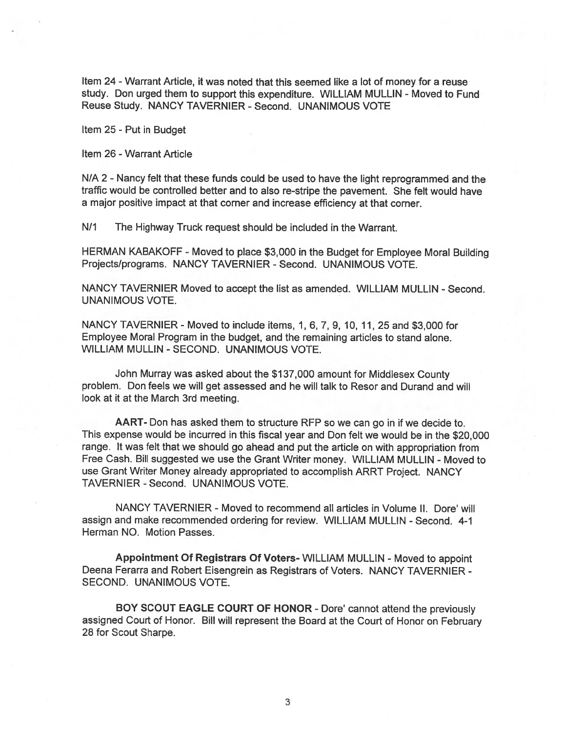Item 24 -Warrant Article, it was noted that this seemed like <sup>a</sup> lot of money for <sup>a</sup> reuse study. Don urged them to support this expenditure. WILLIAM MULLIN - Moved to Fund Reuse Study. NANCY TAVERNIER - Second. UNANIMOUS VOTE

Item 25 - Put in Budget

Item 26 -Warrant Article

N/A 2 - Nancy felt that these funds could be used to have the light reprogrammed and the traffic would be controlled better and to also re-stripe the pavement. She felt would have <sup>a</sup> major positive impact at that corner and increase efficiency at that corner.

N/1 The Highway Truck request should be included in the Warrant.

HERMAN KABAKOFF -Moved to <sup>p</sup>lace \$3,000 in the Budget for Employee Moral Building Projects/programs. NANCY TAVERNIER - Second. UNANIMOUS VOTE.

NANCY TAVERNIER Moved to accep<sup>t</sup> the list as amended. WILLIAM MULLIN - Second. UNANIMOUS VOTE.

NANCY TAVERNIER - Moved to include items, 1, 6, 7, 9, 10, 11, 25 and \$3,000 for Employee Moral Program in the budget, and the remaining articles to stand alone. WILLIAM MULLIN -SECOND. UNANIMOUS VOTE.

John Murray was asked about the \$137,000 amount for Middlesex County problem. Don feels we will ge<sup>t</sup> assessed and he will talk to Resor and Durand and will look at it at the March 3rd meeting.

AART- Don has asked them to structure RFP so we can go in if we decide to. This expense would be incurred in this fiscal year and Don felt we would be in the \$20,000 range. It was felt that we should go ahead and pu<sup>t</sup> the article on with appropriation from Free Cash. Bill suggested we use the Grant Writer money. WILLIAM MULLIN -Moved to use Grant Writer Money already appropriated to accomplish ARRT Project. NANCY TAVERNIER - Second. UNANIMOUS VOTE.

NANCY TAVERNIER - Moved to recommend all articles in Volume II. Dore' will assign and make recommended ordering for review. WILLIAM MULLIN - Second. 4-1 Herman NO. Motion Passes.

Appointment Of Registrars Of Voters- WILLIAM MULLIN - Moved to appoint Deena Ferarra and Robert Eisengrein as Registrars of Voters. NANCY TAVERNIER -SECOND. UNANIMOUS VOTE.

BOY SCOUT EAGLE COURT OF HONOR - Dore' cannot attend the previously assigned Court of Honor. Bill will represen<sup>t</sup> the Board at the Court of Honor on February 28 for Scout Sharpe.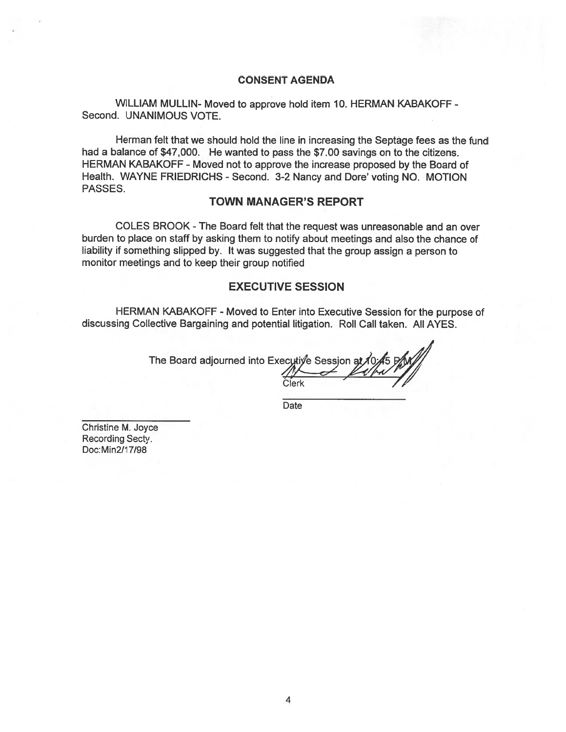#### CONSENT AGENDA

WILLIAM MULLIN- Moved to approve hold item 10. HERMAN KABAKOFF - Second. UNANIMOUS VOTE.

Herman felt that we should hold the line in increasing the Septage fees as the fund had <sup>a</sup> balance of \$47,000. He wanted to pass the \$7.00 savings on to the citizens. HERMAN KABAKOFF -Moved not to approve the increase proposed by the Board of Health. WAYNE FRIEDRICHS - Second. 3-2 Nancy and Dore' voting NO. MOTION PASSES.

#### TOWN MANAGER'S REPORT

COLES BROOK -The Board felt that the reques<sup>t</sup> was unreasonable and an over burden to place on staff by asking them to notify about meetings and also the chance of liability if something slipped by. It was suggested that the group assign <sup>a</sup> person to monitor meetings and to keep their group notified

#### EXECUTIVE SESSION

HERMAN KABAKOFF -Moved to Enter into Executive Session for the purpose of discussing Collective Bargaining and potential litigation. Roll Call taken. All AYES.

The Board adjourned into Executiye Session at

Date

Christine M. Joyce Recording Secty. Doc:Min2/1 7/98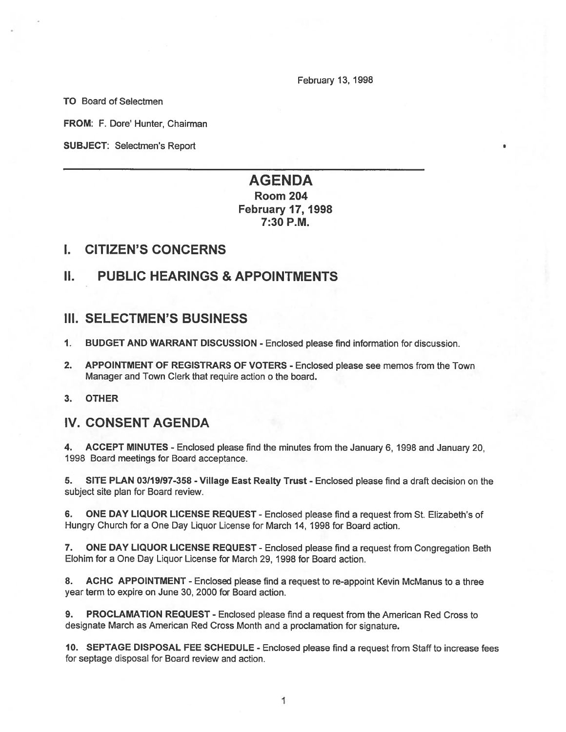February 13, 1998

TO Board of Selectmen

FROM: F. Dore' Hunter, Chairman

SUBJECT: Selectmen's Report

# AGENDA

Room 204 February 17, 1998 7:30 RM.

## I. CITIZEN'S CONCERNS

## II. PUBLIC HEARINGS & APPOINTMENTS

## III. SELECTMEN'S BUSINESS

- 1. BUDGET AND WARRANT DISCUSSION Enclosed please find information for discussion.
- 2. APPOINTMENT OF REGISTRARS OF VOTERS Enclosed please see memos from the Town Manager and Town Clerk that require action <sup>o</sup> the board.
- 3. OTHER

## IV. CONSENT AGENDA

4. ACCEPT MINUTES - Enclosed please find the minutes from the January 6, 1998 and January 20, 1998 Board meetings for Board acceptance.

5. SITE PLAN 03/19/97-358 - Village East Realty Trust - Enclosed please find a draft decision on the subject site plan for Board review.

6. ONE DAY LIQUOR LICENSE REQUEST -Enclosed please find <sup>a</sup> reques<sup>t</sup> from St. Elizabeth's of Hungry Church for <sup>a</sup> One Day Liquor License for March 14, 1998 for Board action.

7. ONE DAY LIQUOR LICENSE REQUEST - Enclosed please find <sup>a</sup> reques<sup>t</sup> from Congregation Beth Elohim for a One Day Liquor License for March 29, 1998 for Board action.

8. ACHC APPOINTMENT - Enclosed please find a request to re-appoint Kevin McManus to a three year term to expire on June 30, 2000 for Board action.

9. PROCLAMATION REQUEST - Enclosed please find <sup>a</sup> reques<sup>t</sup> from the American Red Cross to designate March as American Red Cross Month and <sup>a</sup> proclamation for signature.

10. SEPTAGE DISPOSAL FEE SCHEDULE - Enclosed please find <sup>a</sup> reques<sup>t</sup> from Staff to increase fees for septage disposal for Board review and action.